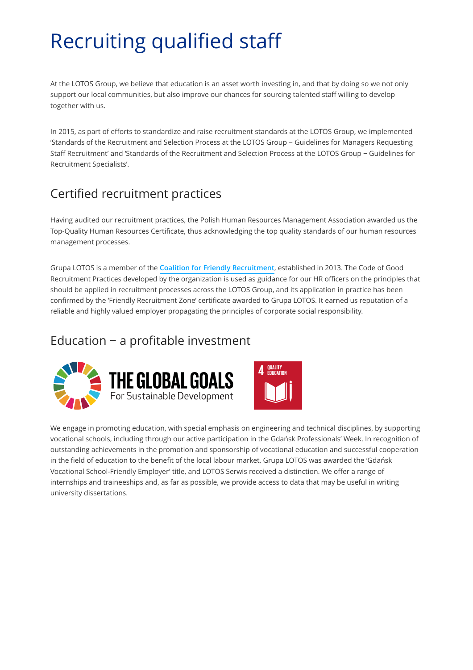# Recruiting qualified staff

At the LOTOS Group, we believe that education is an asset worth investing in, and that by doing so we not only support our local communities, but also improve our chances for sourcing talented staff willing to develop together with us.

In 2015, as part of efforts to standardize and raise recruitment standards at the LOTOS Group, we implemented 'Standards of the Recruitment and Selection Process at the LOTOS Group − Guidelines for Managers Requesting Staff Recruitment' and 'Standards of the Recruitment and Selection Process at the LOTOS Group − Guidelines for Recruitment Specialists'.

## Certified recruitment practices

Having audited our recruitment practices, the Polish Human Resources Management Association awarded us the Top-Quality Human Resources Certificate, thus acknowledging the top quality standards of our human resources management processes.

Grupa LOTOS is a member of the **[Coalition for Friendly Recruitment](http://przyjaznarekrutacja.pl/)**, established in 2013. The Code of Good Recruitment Practices developed by the organization is used as guidance for our HR officers on the principles that should be applied in recruitment processes across the LOTOS Group, and its application in practice has been confirmed by the 'Friendly Recruitment Zone' certificate awarded to Grupa LOTOS. It earned us reputation of a reliable and highly valued employer propagating the principles of corporate social responsibility.

### Education − a profitable investment





We engage in promoting education, with special emphasis on engineering and technical disciplines, by supporting vocational schools, including through our active participation in the Gdańsk Professionals' Week. In recognition of outstanding achievements in the promotion and sponsorship of vocational education and successful cooperation in the field of education to the benefit of the local labour market, Grupa LOTOS was awarded the 'Gdańsk Vocational School-Friendly Employer' title, and LOTOS Serwis received a distinction. We offer a range of internships and traineeships and, as far as possible, we provide access to data that may be useful in writing university dissertations.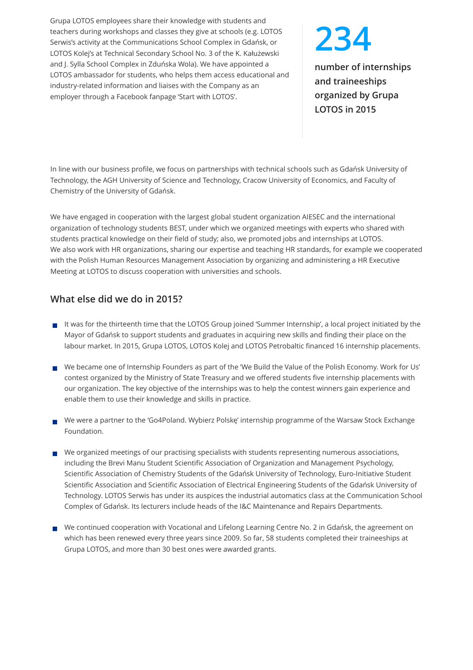Grupa LOTOS employees share their knowledge with students and teachers during workshops and classes they give at schools (e.g. LOTOS Serwis's activity at the Communications School Complex in Gdańsk, or LOTOS Kolej's at Technical Secondary School No. 3 of the K. Kałużewski and J. Sylla School Complex in Zduńska Wola). We have appointed a LOTOS ambassador for students, who helps them access educational and industry-related information and liaises with the Company as an employer through a Facebook fanpage 'Start with LOTOS'.

# **234**

**number of internships and traineeships organized by Grupa LOTOS in 2015**

In line with our business profile, we focus on partnerships with technical schools such as Gdańsk University of Technology, the AGH University of Science and Technology, Cracow University of Economics, and Faculty of Chemistry of the University of Gdańsk.

We have engaged in cooperation with the largest global student organization AIESEC and the international organization of technology students BEST, under which we organized meetings with experts who shared with students practical knowledge on their field of study; also, we promoted jobs and internships at LOTOS. We also work with HR organizations, sharing our expertise and teaching HR standards, for example we cooperated with the Polish Human Resources Management Association by organizing and administering a HR Executive Meeting at LOTOS to discuss cooperation with universities and schools.

### **What else did we do in 2015?**

- It was for the thirteenth time that the LOTOS Group joined 'Summer Internship', a local project initiated by the Mayor of Gdańsk to support students and graduates in acquiring new skills and finding their place on the labour market. In 2015, Grupa LOTOS, LOTOS Kolej and LOTOS Petrobaltic financed 16 internship placements.
- We became one of Internship Founders as part of the 'We Build the Value of the Polish Economy. Work for Us' contest organized by the Ministry of State Treasury and we offered students five internship placements with our organization. The key objective of the internships was to help the contest winners gain experience and enable them to use their knowledge and skills in practice.
- We were a partner to the 'Go4Poland. Wybierz Polskę' internship programme of the Warsaw Stock Exchange Foundation.
- $\blacksquare$  We organized meetings of our practising specialists with students representing numerous associations, including the Brevi Manu Student Scientific Association of Organization and Management Psychology, Scientific Association of Chemistry Students of the Gdańsk University of Technology, Euro-Initiative Student Scientific Association and Scientific Association of Electrical Engineering Students of the Gdańsk University of Technology. LOTOS Serwis has under its auspices the industrial automatics class at the Communication School Complex of Gdańsk. Its lecturers include heads of the I&C Maintenance and Repairs Departments.
- We continued cooperation with Vocational and Lifelong Learning Centre No. 2 in Gdańsk, the agreement on which has been renewed every three years since 2009. So far, 58 students completed their traineeships at Grupa LOTOS, and more than 30 best ones were awarded grants.